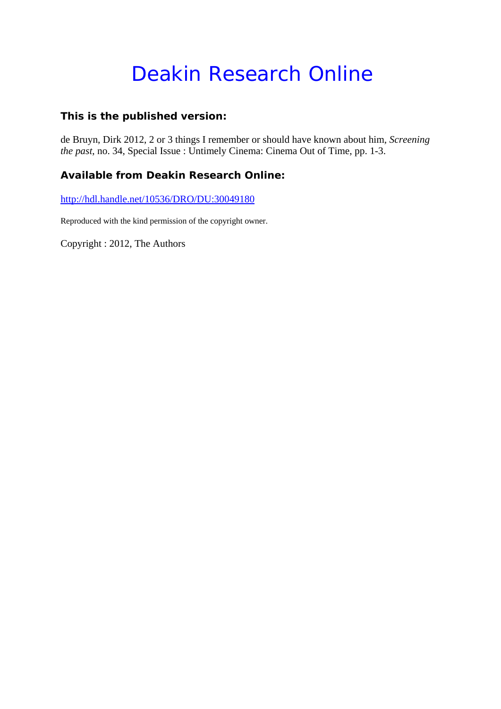# Deakin Research Online

### **This is the published version:**

de Bruyn, Dirk 2012, 2 or 3 things I remember or should have known about him*, Screening the past*, no. 34, Special Issue : Untimely Cinema: Cinema Out of Time, pp. 1-3.

## **Available from Deakin Research Online:**

http://hdl.handle.net/10536/DRO/DU:30049180

Reproduced with the kind permission of the copyright owner.

Copyright : 2012, The Authors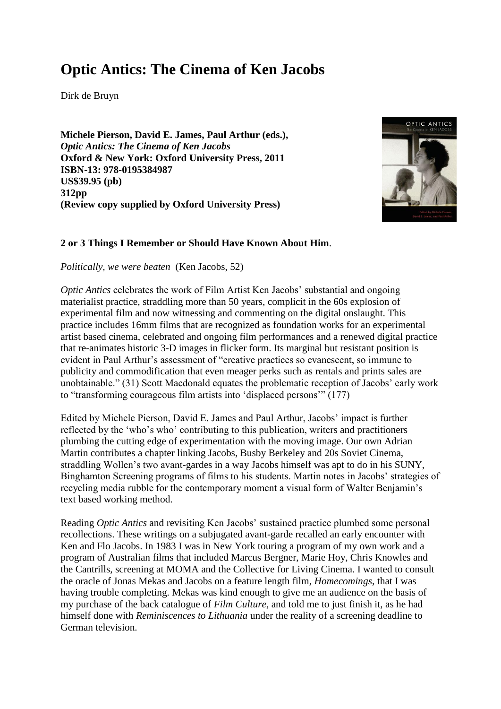# **Optic Antics: The Cinema of Ken Jacobs**

Dirk de Bruyn

**Michele Pierson, David E. James, Paul Arthur (eds.),** *Optic Antics: The Cinema of Ken Jacobs* **Oxford & New York: Oxford University Press, 2011 ISBN-13: 978-0195384987 US\$39.95 (pb) 312pp (Review copy supplied by Oxford University Press)**



#### **2 or 3 Things I Remember or Should Have Known About Him**.

*Politically, we were beaten* (Ken Jacobs, 52)

*Optic Antics* celebrates the work of Film Artist Ken Jacobs' substantial and ongoing materialist practice, straddling more than 50 years, complicit in the 60s explosion of experimental film and now witnessing and commenting on the digital onslaught. This practice includes 16mm films that are recognized as foundation works for an experimental artist based cinema, celebrated and ongoing film performances and a renewed digital practice that re-animates historic 3-D images in flicker form. Its marginal but resistant position is evident in Paul Arthur's assessment of "creative practices so evanescent, so immune to publicity and commodification that even meager perks such as rentals and prints sales are unobtainable." (31) Scott Macdonald equates the problematic reception of Jacobs' early work to "transforming courageous film artists into 'displaced persons'" (177)

Edited by Michele Pierson, David E. James and Paul Arthur, Jacobs' impact is further reflected by the 'who's who' contributing to this publication, writers and practitioners plumbing the cutting edge of experimentation with the moving image. Our own Adrian Martin contributes a chapter linking Jacobs, Busby Berkeley and 20s Soviet Cinema, straddling Wollen's two avant-gardes in a way Jacobs himself was apt to do in his SUNY, Binghamton Screening programs of films to his students. Martin notes in Jacobs' strategies of recycling media rubble for the contemporary moment a visual form of Walter Benjamin's text based working method.

Reading *Optic Antics* and revisiting Ken Jacobs' sustained practice plumbed some personal recollections. These writings on a subjugated avant-garde recalled an early encounter with Ken and Flo Jacobs. In 1983 I was in New York touring a program of my own work and a program of Australian films that included Marcus Bergner, Marie Hoy, Chris Knowles and the Cantrills, screening at MOMA and the Collective for Living Cinema. I wanted to consult the oracle of Jonas Mekas and Jacobs on a feature length film, *Homecomings*, that I was having trouble completing. Mekas was kind enough to give me an audience on the basis of my purchase of the back catalogue of *Film Culture*, and told me to just finish it, as he had himself done with *Reminiscences to Lithuania* under the reality of a screening deadline to German television.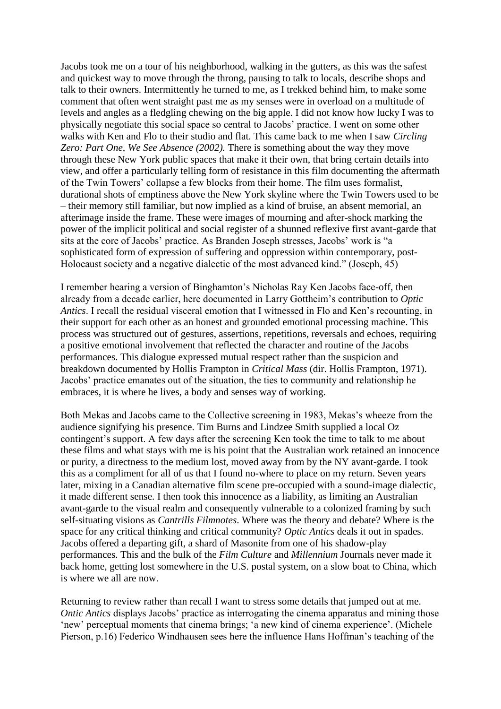Jacobs took me on a tour of his neighborhood, walking in the gutters, as this was the safest and quickest way to move through the throng, pausing to talk to locals, describe shops and talk to their owners. Intermittently he turned to me, as I trekked behind him, to make some comment that often went straight past me as my senses were in overload on a multitude of levels and angles as a fledgling chewing on the big apple. I did not know how lucky I was to physically negotiate this social space so central to Jacobs' practice. I went on some other walks with Ken and Flo to their studio and flat. This came back to me when I saw *Circling Zero: Part One, We See Absence (2002).* There is something about the way they move through these New York public spaces that make it their own, that bring certain details into view, and offer a particularly telling form of resistance in this film documenting the aftermath of the Twin Towers' collapse a few blocks from their home. The film uses formalist, durational shots of emptiness above the New York skyline where the Twin Towers used to be – their memory still familiar, but now implied as a kind of bruise, an absent memorial, an afterimage inside the frame. These were images of mourning and after-shock marking the power of the implicit political and social register of a shunned reflexive first avant-garde that sits at the core of Jacobs' practice. As Branden Joseph stresses, Jacobs' work is "a sophisticated form of expression of suffering and oppression within contemporary, post-Holocaust society and a negative dialectic of the most advanced kind." (Joseph, 45)

I remember hearing a version of Binghamton's Nicholas Ray Ken Jacobs face-off, then already from a decade earlier, here documented in Larry Gottheim's contribution to *Optic Antics*. I recall the residual visceral emotion that I witnessed in Flo and Ken's recounting, in their support for each other as an honest and grounded emotional processing machine. This process was structured out of gestures, assertions, repetitions, reversals and echoes, requiring a positive emotional involvement that reflected the character and routine of the Jacobs performances. This dialogue expressed mutual respect rather than the suspicion and breakdown documented by Hollis Frampton in *Critical Mass* (dir. Hollis Frampton, 1971). Jacobs' practice emanates out of the situation, the ties to community and relationship he embraces, it is where he lives, a body and senses way of working.

Both Mekas and Jacobs came to the Collective screening in 1983, Mekas's wheeze from the audience signifying his presence. Tim Burns and Lindzee Smith supplied a local Oz contingent's support. A few days after the screening Ken took the time to talk to me about these films and what stays with me is his point that the Australian work retained an innocence or purity, a directness to the medium lost, moved away from by the NY avant-garde. I took this as a compliment for all of us that I found no-where to place on my return. Seven years later, mixing in a Canadian alternative film scene pre-occupied with a sound-image dialectic, it made different sense. I then took this innocence as a liability, as limiting an Australian avant-garde to the visual realm and consequently vulnerable to a colonized framing by such self-situating visions as *Cantrills Filmnotes*. Where was the theory and debate? Where is the space for any critical thinking and critical community? *Optic Antics* deals it out in spades. Jacobs offered a departing gift, a shard of Masonite from one of his shadow-play performances. This and the bulk of the *Film Culture* and *Millennium* Journals never made it back home, getting lost somewhere in the U.S. postal system, on a slow boat to China, which is where we all are now.

Returning to review rather than recall I want to stress some details that jumped out at me. *Ontic Antics* displays Jacobs' practice as interrogating the cinema apparatus and mining those 'new' perceptual moments that cinema brings; 'a new kind of cinema experience'. (Michele Pierson, p.16) Federico Windhausen sees here the influence Hans Hoffman's teaching of the